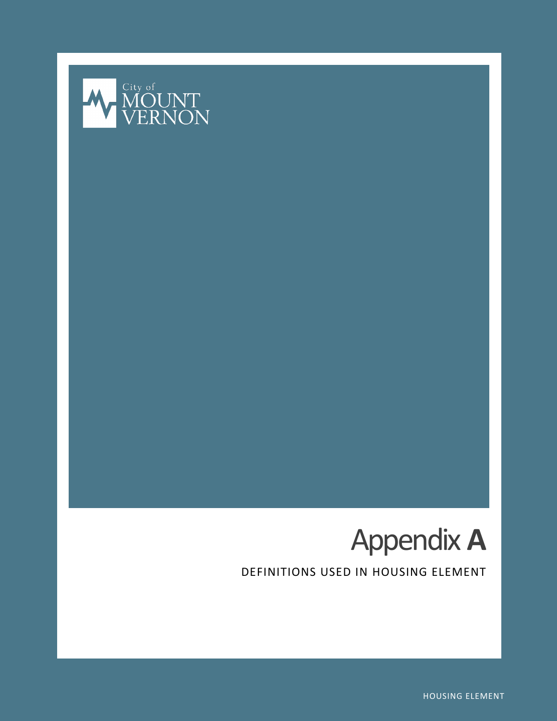



DEFINITIONS USED IN HOUSING ELEMENT

HOUSING ELEMENT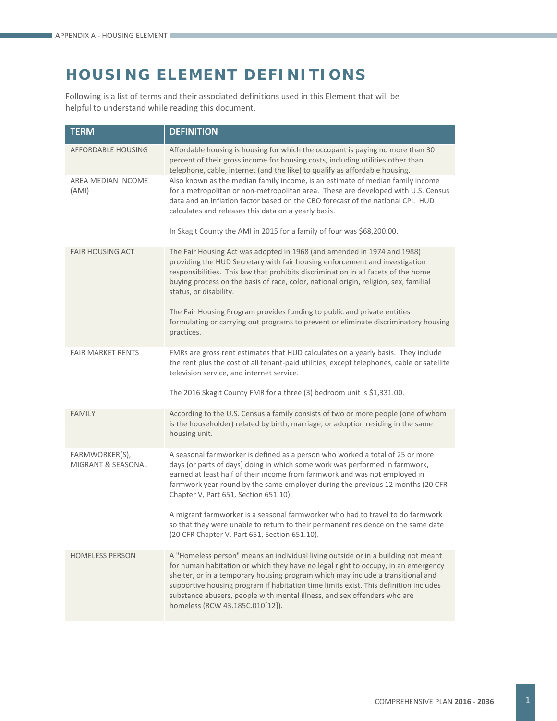## **HOUSING ELEMENT DEFINITIONS**

Following is a list of terms and their associated definitions used in this Element that will be helpful to understand while reading this document.

| <b>TERM</b>                                     | <b>DEFINITION</b>                                                                                                                                                                                                                                                                                                                                                                                                                                                |
|-------------------------------------------------|------------------------------------------------------------------------------------------------------------------------------------------------------------------------------------------------------------------------------------------------------------------------------------------------------------------------------------------------------------------------------------------------------------------------------------------------------------------|
| AFFORDABLE HOUSING                              | Affordable housing is housing for which the occupant is paying no more than 30<br>percent of their gross income for housing costs, including utilities other than<br>telephone, cable, internet (and the like) to qualify as affordable housing.                                                                                                                                                                                                                 |
| AREA MEDIAN INCOME<br>(AMI)                     | Also known as the median family income, is an estimate of median family income<br>for a metropolitan or non-metropolitan area. These are developed with U.S. Census<br>data and an inflation factor based on the CBO forecast of the national CPI. HUD<br>calculates and releases this data on a yearly basis.<br>In Skagit County the AMI in 2015 for a family of four was \$68,200.00.                                                                         |
|                                                 |                                                                                                                                                                                                                                                                                                                                                                                                                                                                  |
| <b>FAIR HOUSING ACT</b>                         | The Fair Housing Act was adopted in 1968 (and amended in 1974 and 1988)<br>providing the HUD Secretary with fair housing enforcement and investigation<br>responsibilities. This law that prohibits discrimination in all facets of the home<br>buying process on the basis of race, color, national origin, religion, sex, familial<br>status, or disability.                                                                                                   |
|                                                 | The Fair Housing Program provides funding to public and private entities<br>formulating or carrying out programs to prevent or eliminate discriminatory housing<br>practices.                                                                                                                                                                                                                                                                                    |
| <b>FAIR MARKET RENTS</b>                        | FMRs are gross rent estimates that HUD calculates on a yearly basis. They include<br>the rent plus the cost of all tenant-paid utilities, except telephones, cable or satellite<br>television service, and internet service.                                                                                                                                                                                                                                     |
|                                                 | The 2016 Skagit County FMR for a three (3) bedroom unit is \$1,331.00.                                                                                                                                                                                                                                                                                                                                                                                           |
| <b>FAMILY</b>                                   | According to the U.S. Census a family consists of two or more people (one of whom<br>is the householder) related by birth, marriage, or adoption residing in the same<br>housing unit.                                                                                                                                                                                                                                                                           |
| FARMWORKER(S),<br><b>MIGRANT &amp; SEASONAL</b> | A seasonal farmworker is defined as a person who worked a total of 25 or more<br>days (or parts of days) doing in which some work was performed in farmwork,<br>earned at least half of their income from farmwork and was not employed in<br>farmwork year round by the same employer during the previous 12 months (20 CFR<br>Chapter V, Part 651, Section 651.10).                                                                                            |
|                                                 | A migrant farmworker is a seasonal farmworker who had to travel to do farmwork<br>so that they were unable to return to their permanent residence on the same date<br>(20 CFR Chapter V, Part 651, Section 651.10).                                                                                                                                                                                                                                              |
| <b>HOMELESS PERSON</b>                          | A "Homeless person" means an individual living outside or in a building not meant<br>for human habitation or which they have no legal right to occupy, in an emergency<br>shelter, or in a temporary housing program which may include a transitional and<br>supportive housing program if habitation time limits exist. This definition includes<br>substance abusers, people with mental illness, and sex offenders who are<br>homeless (RCW 43.185C.010[12]). |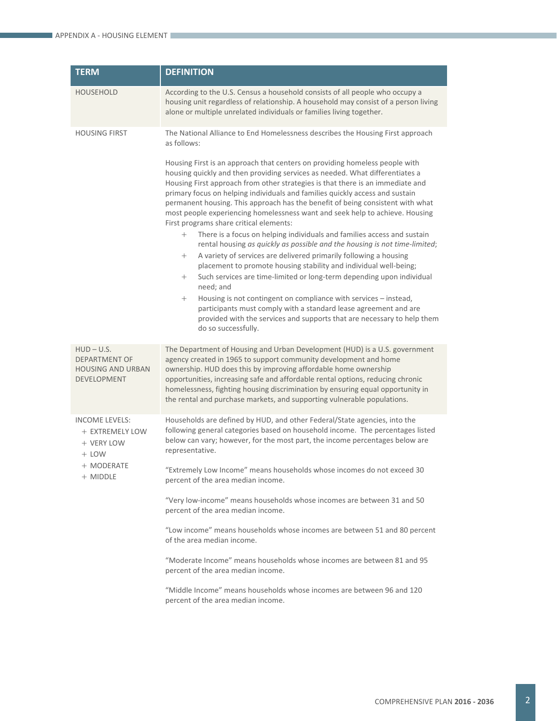| <b>TERM</b>                                                                                 | <b>DEFINITION</b>                                                                                                                                                                                                                                                                                                                                                                                                                                                                                                                          |
|---------------------------------------------------------------------------------------------|--------------------------------------------------------------------------------------------------------------------------------------------------------------------------------------------------------------------------------------------------------------------------------------------------------------------------------------------------------------------------------------------------------------------------------------------------------------------------------------------------------------------------------------------|
| <b>HOUSEHOLD</b>                                                                            | According to the U.S. Census a household consists of all people who occupy a<br>housing unit regardless of relationship. A household may consist of a person living<br>alone or multiple unrelated individuals or families living together.                                                                                                                                                                                                                                                                                                |
| <b>HOUSING FIRST</b>                                                                        | The National Alliance to End Homelessness describes the Housing First approach<br>as follows:                                                                                                                                                                                                                                                                                                                                                                                                                                              |
|                                                                                             | Housing First is an approach that centers on providing homeless people with<br>housing quickly and then providing services as needed. What differentiates a<br>Housing First approach from other strategies is that there is an immediate and<br>primary focus on helping individuals and families quickly access and sustain<br>permanent housing. This approach has the benefit of being consistent with what<br>most people experiencing homelessness want and seek help to achieve. Housing<br>First programs share critical elements: |
|                                                                                             | There is a focus on helping individuals and families access and sustain<br>$^{+}$<br>rental housing as quickly as possible and the housing is not time-limited;<br>A variety of services are delivered primarily following a housing<br>$^{+}$<br>placement to promote housing stability and individual well-being;<br>Such services are time-limited or long-term depending upon individual<br>$^{+}$                                                                                                                                     |
|                                                                                             | need; and<br>Housing is not contingent on compliance with services - instead,<br>$^{+}$<br>participants must comply with a standard lease agreement and are<br>provided with the services and supports that are necessary to help them<br>do so successfully.                                                                                                                                                                                                                                                                              |
| $HUD - U.S.$<br><b>DEPARTMENT OF</b><br><b>HOUSING AND URBAN</b><br>DEVELOPMENT             | The Department of Housing and Urban Development (HUD) is a U.S. government<br>agency created in 1965 to support community development and home<br>ownership. HUD does this by improving affordable home ownership<br>opportunities, increasing safe and affordable rental options, reducing chronic<br>homelessness, fighting housing discrimination by ensuring equal opportunity in<br>the rental and purchase markets, and supporting vulnerable populations.                                                                           |
| <b>INCOME LEVELS:</b><br>+ EXTREMELY LOW<br>+ VERY LOW<br>$+$ LOW<br>+ MODERATE<br>+ MIDDLE | Households are defined by HUD, and other Federal/State agencies, into the<br>following general categories based on household income. The percentages listed<br>below can vary; however, for the most part, the income percentages below are<br>representative.                                                                                                                                                                                                                                                                             |
|                                                                                             | "Extremely Low Income" means households whose incomes do not exceed 30<br>percent of the area median income.                                                                                                                                                                                                                                                                                                                                                                                                                               |
|                                                                                             | "Very low-income" means households whose incomes are between 31 and 50<br>percent of the area median income.                                                                                                                                                                                                                                                                                                                                                                                                                               |
|                                                                                             | "Low income" means households whose incomes are between 51 and 80 percent<br>of the area median income.                                                                                                                                                                                                                                                                                                                                                                                                                                    |
|                                                                                             | "Moderate Income" means households whose incomes are between 81 and 95<br>percent of the area median income.                                                                                                                                                                                                                                                                                                                                                                                                                               |
|                                                                                             | "Middle Income" means households whose incomes are between 96 and 120<br>percent of the area median income.                                                                                                                                                                                                                                                                                                                                                                                                                                |